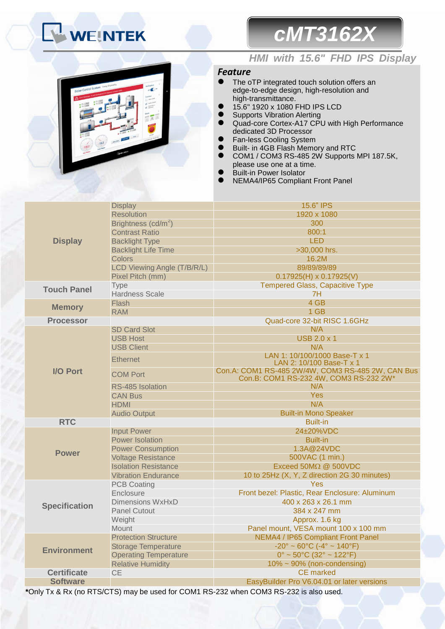# **WEINTEK**

# *HMI with 15.6" FHD IPS Display*

*cMT3162X*

## *Feature*

- The oTP integrated touch solution offers an edge-to-edge design, high-resolution and high-transmittance.
- 15.6" 1920 x 1080 FHD IPS LCD
- **•** Supports Vibration Alerting
- Quad-core Cortex-A17 CPU with High Performance dedicated 3D Processor
- **•** Fan-less Cooling System
- **Built- in 4GB Flash Memory and RTC**
- COM1 / COM3 RS-485 2W Supports MPI 187.5K, please use one at a time.
- Built-in Power Isolator
- NEMA4/IP65 Compliant Front Panel

|                      | <b>Display</b>                  | 15.6" IPS                                                                                   |  |  |
|----------------------|---------------------------------|---------------------------------------------------------------------------------------------|--|--|
|                      | <b>Resolution</b>               | 1920 x 1080                                                                                 |  |  |
|                      | Brightness (cd/m <sup>2</sup> ) | 300                                                                                         |  |  |
|                      | <b>Contrast Ratio</b>           | 800:1                                                                                       |  |  |
| <b>Display</b>       | <b>Backlight Type</b>           | <b>LED</b>                                                                                  |  |  |
|                      | <b>Backlight Life Time</b>      | >30,000 hrs.                                                                                |  |  |
|                      | <b>Colors</b>                   | 16.2M                                                                                       |  |  |
|                      | LCD Viewing Angle (T/B/R/L)     | 89/89/89/89                                                                                 |  |  |
|                      | Pixel Pitch (mm)                | $0.17925(H) \times 0.17925(V)$                                                              |  |  |
| <b>Touch Panel</b>   | Type                            | <b>Tempered Glass, Capacitive Type</b>                                                      |  |  |
|                      | <b>Hardness Scale</b>           | 7H                                                                                          |  |  |
| <b>Memory</b>        | Flash                           | 4 GB                                                                                        |  |  |
|                      | <b>RAM</b>                      | 1 GB                                                                                        |  |  |
| <b>Processor</b>     |                                 | Quad-core 32-bit RISC 1.6GHz                                                                |  |  |
|                      | <b>SD Card Slot</b>             | N/A                                                                                         |  |  |
|                      | <b>USB Host</b>                 | <b>USB 2.0 x 1</b>                                                                          |  |  |
|                      | <b>USB Client</b>               | N/A                                                                                         |  |  |
|                      | <b>Ethernet</b>                 | LAN 1: 10/100/1000 Base-T x 1<br>LAN 2: 10/100 Base-T x 1                                   |  |  |
| <b>I/O Port</b>      | <b>COM Port</b>                 | Con.A: COM1 RS-485 2W/4W, COM3 RS-485 2W, CAN Bus<br>Con.B: COM1 RS-232 4W, COM3 RS-232 2W* |  |  |
|                      | RS-485 Isolation                | N/A                                                                                         |  |  |
|                      | <b>CAN Bus</b>                  | <b>Yes</b>                                                                                  |  |  |
|                      | <b>HDMI</b>                     | N/A                                                                                         |  |  |
|                      | <b>Audio Output</b>             | <b>Built-in Mono Speaker</b>                                                                |  |  |
| <b>RTC</b>           |                                 | <b>Built-in</b>                                                                             |  |  |
|                      | <b>Input Power</b>              | 24±20%VDC                                                                                   |  |  |
|                      | <b>Power Isolation</b>          | <b>Built-in</b>                                                                             |  |  |
| <b>Power</b>         | <b>Power Consumption</b>        | 1.3A@24VDC                                                                                  |  |  |
|                      | <b>Voltage Resistance</b>       | 500VAC (1 min.)                                                                             |  |  |
|                      | <b>Isolation Resistance</b>     | Exceed $50M\Omega$ $@$ $500VDC$                                                             |  |  |
|                      | <b>Vibration Endurance</b>      | 10 to 25Hz (X, Y, Z direction 2G 30 minutes)                                                |  |  |
|                      | <b>PCB Coating</b>              | <b>Yes</b>                                                                                  |  |  |
|                      | Enclosure                       | Front bezel: Plastic, Rear Enclosure: Aluminum                                              |  |  |
| <b>Specification</b> | <b>Dimensions WxHxD</b>         | 400 x 263 x 26.1 mm                                                                         |  |  |
|                      | <b>Panel Cutout</b>             | 384 x 247 mm                                                                                |  |  |
|                      | Weight                          | Approx. 1.6 kg                                                                              |  |  |
|                      | <b>Mount</b>                    | Panel mount, VESA mount 100 x 100 mm                                                        |  |  |
|                      | <b>Protection Structure</b>     | <b>NEMA4 / IP65 Compliant Front Panel</b>                                                   |  |  |
| <b>Environment</b>   | <b>Storage Temperature</b>      | $-20^{\circ} \sim 60^{\circ}$ C ( $-4^{\circ} \sim 140^{\circ}$ F)                          |  |  |
|                      | <b>Operating Temperature</b>    | $0^{\circ}$ ~ 50 $^{\circ}$ C (32 $^{\circ}$ ~ 122 $^{\circ}$ F)                            |  |  |
|                      | <b>Relative Humidity</b>        | $10\% \sim 90\%$ (non-condensing)                                                           |  |  |
| <b>Certificate</b>   | <b>CE</b>                       | <b>CE</b> marked                                                                            |  |  |
| <b>Software</b>      |                                 | EasyBuilder Pro V6.04.01 or later versions                                                  |  |  |

**\***Only Tx & Rx (no RTS/CTS) may be used for COM1 RS-232 when COM3 RS-232 is also used.